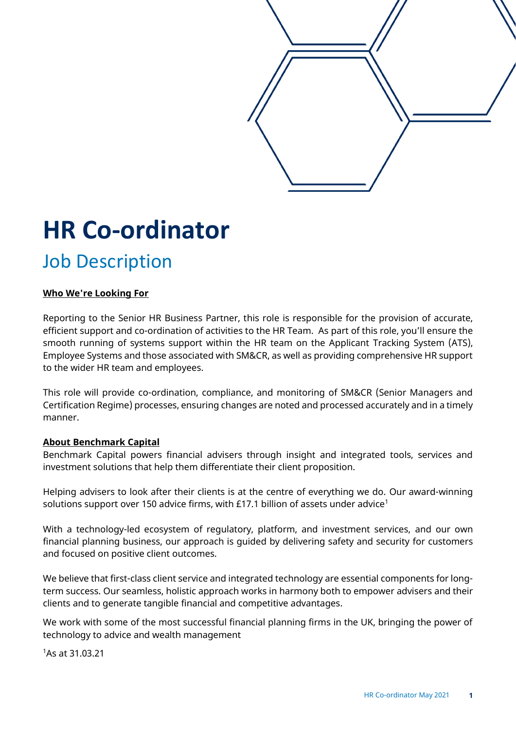

# **HR Co-ordinator**

# Job Description

# **Who We're Looking For**

Reporting to the Senior HR Business Partner, this role is responsible for the provision of accurate, efficient support and co-ordination of activities to the HR Team. As part of this role, you'll ensure the smooth running of systems support within the HR team on the Applicant Tracking System (ATS), Employee Systems and those associated with SM&CR, as well as providing comprehensive HR support to the wider HR team and employees.

This role will provide co-ordination, compliance, and monitoring of SM&CR (Senior Managers and Certification Regime) processes, ensuring changes are noted and processed accurately and in a timely manner.

# **About Benchmark Capital**

Benchmark Capital powers financial advisers through insight and integrated tools, services and investment solutions that help them differentiate their client proposition.

Helping advisers to look after their clients is at the centre of everything we do. Our award-winning solutions support over 150 advice firms, with £17.1 billion of assets under advice<sup>1</sup>

With a technology-led ecosystem of regulatory, platform, and investment services, and our own financial planning business, our approach is guided by delivering safety and security for customers and focused on positive client outcomes.

We believe that first-class client service and integrated technology are essential components for longterm success. Our seamless, holistic approach works in harmony both to empower advisers and their clients and to generate tangible financial and competitive advantages.

We work with some of the most successful financial planning firms in the UK, bringing the power of technology to advice and wealth management

<sup>1</sup>As at 31.03.21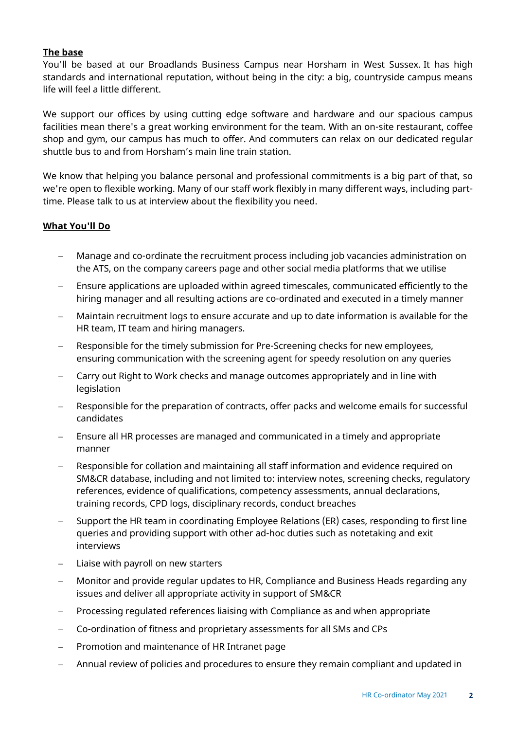### **The base**

You'll be based at our Broadlands Business Campus near Horsham in West Sussex. It has high standards and international reputation, without being in the city: a big, countryside campus means life will feel a little different.

We support our offices by using cutting edge software and hardware and our spacious campus facilities mean there's a great working environment for the team. With an on-site restaurant, coffee shop and gym, our campus has much to offer. And commuters can relax on our dedicated regular shuttle bus to and from Horsham's main line train station.

We know that helping you balance personal and professional commitments is a big part of that, so we're open to flexible working. Many of our staff work flexibly in many different ways, including parttime. Please talk to us at interview about the flexibility you need.

#### **What You'll Do**

- Manage and co-ordinate the recruitment process including job vacancies administration on the ATS, on the company careers page and other social media platforms that we utilise
- Ensure applications are uploaded within agreed timescales, communicated efficiently to the hiring manager and all resulting actions are co-ordinated and executed in a timely manner
- − Maintain recruitment logs to ensure accurate and up to date information is available for the HR team, IT team and hiring managers.
- − Responsible for the timely submission for Pre-Screening checks for new employees, ensuring communication with the screening agent for speedy resolution on any queries
- − Carry out Right to Work checks and manage outcomes appropriately and in line with legislation
- Responsible for the preparation of contracts, offer packs and welcome emails for successful candidates
- Ensure all HR processes are managed and communicated in a timely and appropriate manner
- − Responsible for collation and maintaining all staff information and evidence required on SM&CR database, including and not limited to: interview notes, screening checks, regulatory references, evidence of qualifications, competency assessments, annual declarations, training records, CPD logs, disciplinary records, conduct breaches
- Support the HR team in coordinating Employee Relations (ER) cases, responding to first line queries and providing support with other ad-hoc duties such as notetaking and exit interviews
- Liaise with payroll on new starters
- − Monitor and provide regular updates to HR, Compliance and Business Heads regarding any issues and deliver all appropriate activity in support of SM&CR
- Processing regulated references liaising with Compliance as and when appropriate
- − Co-ordination of fitness and proprietary assessments for all SMs and CPs
- − Promotion and maintenance of HR Intranet page
- − Annual review of policies and procedures to ensure they remain compliant and updated in